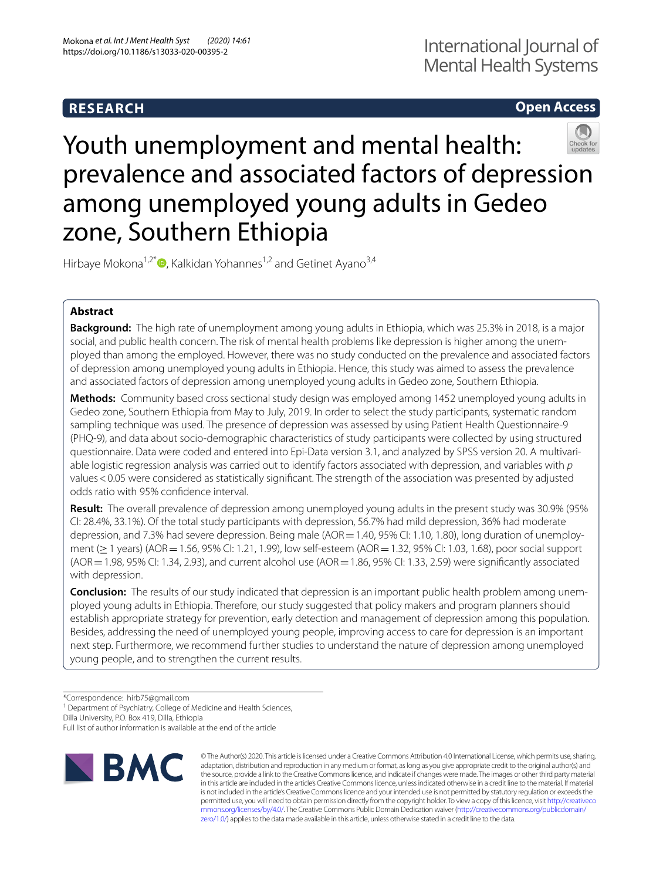# **RESEARCH**

## **Open Access**

# Youth unemployment and mental health: prevalence and associated factors of depression among unemployed young adults in Gedeo zone, Southern Ethiopia

Hirbaye Mokona<sup>1,2\*</sup> $\bullet$ [,](http://orcid.org/0000-0002-8398-3481) Kalkidan Yohannes<sup>1,2</sup> and Getinet Ayano<sup>3,4</sup>

## **Abstract**

**Background:** The high rate of unemployment among young adults in Ethiopia, which was 25.3% in 2018, is a major social, and public health concern. The risk of mental health problems like depression is higher among the unemployed than among the employed. However, there was no study conducted on the prevalence and associated factors of depression among unemployed young adults in Ethiopia. Hence, this study was aimed to assess the prevalence and associated factors of depression among unemployed young adults in Gedeo zone, Southern Ethiopia.

**Methods:** Community based cross sectional study design was employed among 1452 unemployed young adults in Gedeo zone, Southern Ethiopia from May to July, 2019. In order to select the study participants, systematic random sampling technique was used. The presence of depression was assessed by using Patient Health Questionnaire-9 (PHQ-9), and data about socio-demographic characteristics of study participants were collected by using structured questionnaire. Data were coded and entered into Epi-Data version 3.1, and analyzed by SPSS version 20. A multivariable logistic regression analysis was carried out to identify factors associated with depression, and variables with *p* values<0.05 were considered as statistically signifcant. The strength of the association was presented by adjusted odds ratio with 95% confdence interval.

**Result:** The overall prevalence of depression among unemployed young adults in the present study was 30.9% (95% CI: 28.4%, 33.1%). Of the total study participants with depression, 56.7% had mild depression, 36% had moderate depression, and 7.3% had severe depression. Being male (AOR = 1.40, 95% CI: 1.10, 1.80), long duration of unemployment (≥1 years) (AOR=1.56, 95% CI: 1.21, 1.99), low self-esteem (AOR=1.32, 95% CI: 1.03, 1.68), poor social support  $(AOR = 1.98, 95\%$  CI: 1.34, 2.93), and current alcohol use  $(AOR = 1.86, 95\%$  CI: 1.33, 2.59) were significantly associated with depression.

**Conclusion:** The results of our study indicated that depression is an important public health problem among unemployed young adults in Ethiopia. Therefore, our study suggested that policy makers and program planners should establish appropriate strategy for prevention, early detection and management of depression among this population. Besides, addressing the need of unemployed young people, improving access to care for depression is an important next step. Furthermore, we recommend further studies to understand the nature of depression among unemployed young people, and to strengthen the current results.

<sup>1</sup> Department of Psychiatry, College of Medicine and Health Sciences,

Dilla University, P.O. Box 419, Dilla, Ethiopia

Full list of author information is available at the end of the article



© The Author(s) 2020. This article is licensed under a Creative Commons Attribution 4.0 International License, which permits use, sharing, adaptation, distribution and reproduction in any medium or format, as long as you give appropriate credit to the original author(s) and the source, provide a link to the Creative Commons licence, and indicate if changes were made. The images or other third party material in this article are included in the article's Creative Commons licence, unless indicated otherwise in a credit line to the material. If material is not included in the article's Creative Commons licence and your intended use is not permitted by statutory regulation or exceeds the permitted use, you will need to obtain permission directly from the copyright holder. To view a copy of this licence, visit [http://creativeco](http://creativecommons.org/licenses/by/4.0/) [mmons.org/licenses/by/4.0/.](http://creativecommons.org/licenses/by/4.0/) The Creative Commons Public Domain Dedication waiver ([http://creativecommons.org/publicdomain/](http://creativecommons.org/publicdomain/zero/1.0/) [zero/1.0/\)](http://creativecommons.org/publicdomain/zero/1.0/) applies to the data made available in this article, unless otherwise stated in a credit line to the data.

<sup>\*</sup>Correspondence: hirb75@gmail.com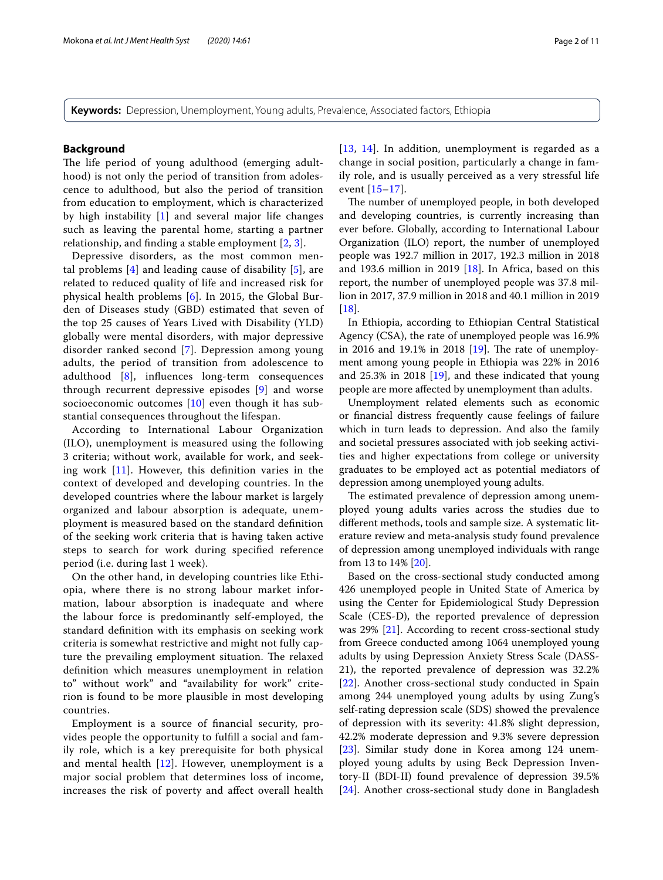**Keywords:** Depression, Unemployment, Young adults, Prevalence, Associated factors, Ethiopia

#### **Background**

The life period of young adulthood (emerging adulthood) is not only the period of transition from adolescence to adulthood, but also the period of transition from education to employment, which is characterized by high instability [[1\]](#page-8-0) and several major life changes such as leaving the parental home, starting a partner relationship, and fnding a stable employment [[2,](#page-8-1) [3](#page-8-2)].

Depressive disorders, as the most common mental problems  $[4]$  $[4]$  and leading cause of disability  $[5]$  $[5]$ , are related to reduced quality of life and increased risk for physical health problems [\[6\]](#page-9-2). In 2015, the Global Burden of Diseases study (GBD) estimated that seven of the top 25 causes of Years Lived with Disability (YLD) globally were mental disorders, with major depressive disorder ranked second [[7](#page-9-3)]. Depression among young adults, the period of transition from adolescence to adulthood [[8\]](#page-9-4), infuences long-term consequences through recurrent depressive episodes [[9\]](#page-9-5) and worse socioeconomic outcomes  $[10]$  $[10]$  even though it has substantial consequences throughout the lifespan.

According to International Labour Organization (ILO), unemployment is measured using the following 3 criteria; without work, available for work, and seeking work [[11\]](#page-9-7). However, this defnition varies in the context of developed and developing countries. In the developed countries where the labour market is largely organized and labour absorption is adequate, unemployment is measured based on the standard defnition of the seeking work criteria that is having taken active steps to search for work during specifed reference period (i.e. during last 1 week).

On the other hand, in developing countries like Ethiopia, where there is no strong labour market information, labour absorption is inadequate and where the labour force is predominantly self-employed, the standard defnition with its emphasis on seeking work criteria is somewhat restrictive and might not fully capture the prevailing employment situation. The relaxed defnition which measures unemployment in relation to" without work" and "availability for work" criterion is found to be more plausible in most developing countries.

Employment is a source of fnancial security, provides people the opportunity to fulfll a social and family role, which is a key prerequisite for both physical and mental health [[12\]](#page-9-8). However, unemployment is a major social problem that determines loss of income, increases the risk of poverty and afect overall health [[13](#page-9-9), [14\]](#page-9-10). In addition, unemployment is regarded as a change in social position, particularly a change in family role, and is usually perceived as a very stressful life event [\[15–](#page-9-11)[17\]](#page-9-12).

The number of unemployed people, in both developed and developing countries, is currently increasing than ever before. Globally, according to International Labour Organization (ILO) report, the number of unemployed people was 192.7 million in 2017, 192.3 million in 2018 and 193.6 million in 2019  $[18]$  $[18]$ . In Africa, based on this report, the number of unemployed people was 37.8 million in 2017, 37.9 million in 2018 and 40.1 million in 2019 [[18\]](#page-9-13).

In Ethiopia, according to Ethiopian Central Statistical Agency (CSA), the rate of unemployed people was 16.9% in 2016 and 19.1% in 2018  $[19]$  $[19]$ . The rate of unemployment among young people in Ethiopia was 22% in 2016 and 25.3% in 2018 [\[19](#page-9-14)], and these indicated that young people are more afected by unemployment than adults.

Unemployment related elements such as economic or fnancial distress frequently cause feelings of failure which in turn leads to depression. And also the family and societal pressures associated with job seeking activities and higher expectations from college or university graduates to be employed act as potential mediators of depression among unemployed young adults.

The estimated prevalence of depression among unemployed young adults varies across the studies due to diferent methods, tools and sample size. A systematic literature review and meta-analysis study found prevalence of depression among unemployed individuals with range from 13 to 14% [\[20\]](#page-9-15).

Based on the cross-sectional study conducted among 426 unemployed people in United State of America by using the Center for Epidemiological Study Depression Scale (CES-D), the reported prevalence of depression was 29% [[21\]](#page-9-16). According to recent cross-sectional study from Greece conducted among 1064 unemployed young adults by using Depression Anxiety Stress Scale (DASS-21), the reported prevalence of depression was 32.2% [[22\]](#page-9-17). Another cross-sectional study conducted in Spain among 244 unemployed young adults by using Zung's self-rating depression scale (SDS) showed the prevalence of depression with its severity: 41.8% slight depression, 42.2% moderate depression and 9.3% severe depression [[23\]](#page-9-18). Similar study done in Korea among 124 unemployed young adults by using Beck Depression Inventory-II (BDI-II) found prevalence of depression 39.5% [[24\]](#page-9-19). Another cross-sectional study done in Bangladesh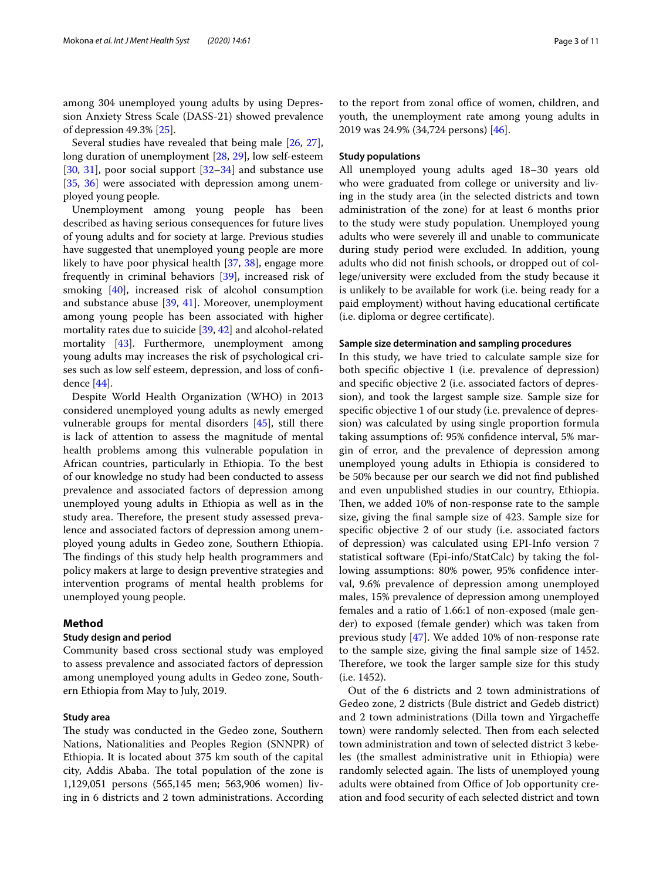among 304 unemployed young adults by using Depression Anxiety Stress Scale (DASS-21) showed prevalence of depression 49.3% [[25\]](#page-9-20).

Several studies have revealed that being male [[26,](#page-9-21) [27](#page-9-22)], long duration of unemployment [\[28](#page-9-23), [29\]](#page-9-24), low self-esteem [[30,](#page-9-25) [31](#page-9-26)], poor social support [\[32](#page-9-27)[–34](#page-9-28)] and substance use [[35,](#page-9-29) [36\]](#page-9-30) were associated with depression among unemployed young people.

Unemployment among young people has been described as having serious consequences for future lives of young adults and for society at large. Previous studies have suggested that unemployed young people are more likely to have poor physical health [\[37](#page-9-31), [38](#page-9-32)], engage more frequently in criminal behaviors [\[39](#page-9-33)], increased risk of smoking [[40](#page-9-34)], increased risk of alcohol consumption and substance abuse [[39,](#page-9-33) [41](#page-9-35)]. Moreover, unemployment among young people has been associated with higher mortality rates due to suicide [[39](#page-9-33), [42\]](#page-9-36) and alcohol-related mortality [[43\]](#page-9-37). Furthermore, unemployment among young adults may increases the risk of psychological crises such as low self esteem, depression, and loss of confdence [\[44](#page-9-38)].

Despite World Health Organization (WHO) in 2013 considered unemployed young adults as newly emerged vulnerable groups for mental disorders [[45](#page-9-39)], still there is lack of attention to assess the magnitude of mental health problems among this vulnerable population in African countries, particularly in Ethiopia. To the best of our knowledge no study had been conducted to assess prevalence and associated factors of depression among unemployed young adults in Ethiopia as well as in the study area. Therefore, the present study assessed prevalence and associated factors of depression among unemployed young adults in Gedeo zone, Southern Ethiopia. The findings of this study help health programmers and policy makers at large to design preventive strategies and intervention programs of mental health problems for unemployed young people.

## **Method**

## **Study design and period**

Community based cross sectional study was employed to assess prevalence and associated factors of depression among unemployed young adults in Gedeo zone, Southern Ethiopia from May to July, 2019.

## **Study area**

The study was conducted in the Gedeo zone, Southern Nations, Nationalities and Peoples Region (SNNPR) of Ethiopia. It is located about 375 km south of the capital city, Addis Ababa. The total population of the zone is 1,129,051 persons (565,145 men; 563,906 women) living in 6 districts and 2 town administrations. According to the report from zonal office of women, children, and youth, the unemployment rate among young adults in 2019 was 24.9% (34,724 persons) [\[46](#page-9-40)].

## **Study populations**

All unemployed young adults aged 18–30 years old who were graduated from college or university and living in the study area (in the selected districts and town administration of the zone) for at least 6 months prior to the study were study population. Unemployed young adults who were severely ill and unable to communicate during study period were excluded. In addition, young adults who did not fnish schools, or dropped out of college/university were excluded from the study because it is unlikely to be available for work (i.e. being ready for a paid employment) without having educational certifcate (i.e. diploma or degree certifcate).

#### **Sample size determination and sampling procedures**

In this study, we have tried to calculate sample size for both specifc objective 1 (i.e. prevalence of depression) and specifc objective 2 (i.e. associated factors of depression), and took the largest sample size. Sample size for specifc objective 1 of our study (i.e. prevalence of depression) was calculated by using single proportion formula taking assumptions of: 95% confdence interval, 5% margin of error, and the prevalence of depression among unemployed young adults in Ethiopia is considered to be 50% because per our search we did not fnd published and even unpublished studies in our country, Ethiopia. Then, we added 10% of non-response rate to the sample size, giving the fnal sample size of 423. Sample size for specifc objective 2 of our study (i.e. associated factors of depression) was calculated using EPI-Info version 7 statistical software (Epi-info/StatCalc) by taking the following assumptions: 80% power, 95% confdence interval, 9.6% prevalence of depression among unemployed males, 15% prevalence of depression among unemployed females and a ratio of 1.66:1 of non-exposed (male gender) to exposed (female gender) which was taken from previous study [[47\]](#page-9-41). We added 10% of non-response rate to the sample size, giving the fnal sample size of 1452. Therefore, we took the larger sample size for this study (i.e. 1452).

Out of the 6 districts and 2 town administrations of Gedeo zone, 2 districts (Bule district and Gedeb district) and 2 town administrations (Dilla town and Yirgachefe town) were randomly selected. Then from each selected town administration and town of selected district 3 kebeles (the smallest administrative unit in Ethiopia) were randomly selected again. The lists of unemployed young adults were obtained from Office of Job opportunity creation and food security of each selected district and town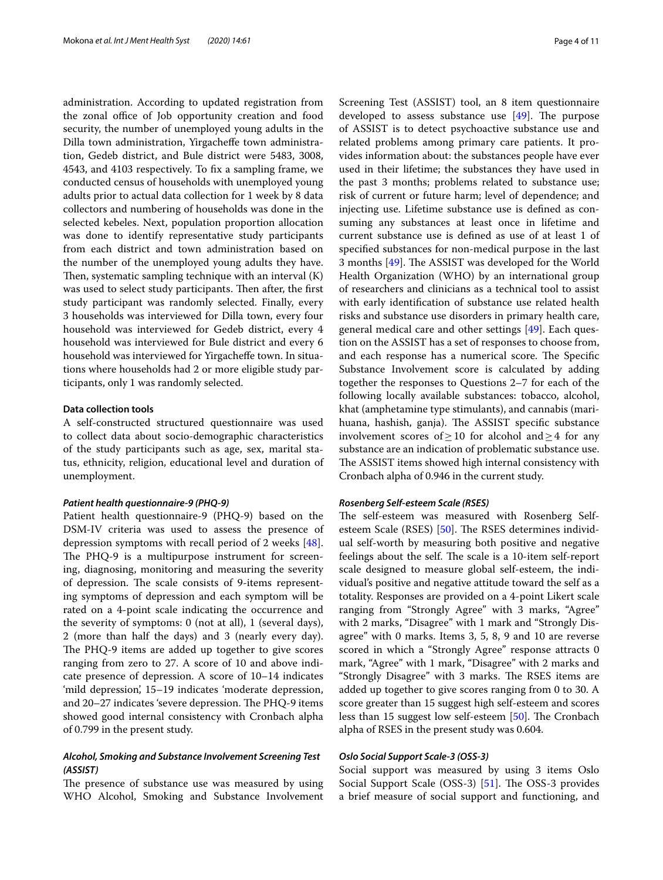administration. According to updated registration from the zonal office of Job opportunity creation and food security, the number of unemployed young adults in the Dilla town administration, Yirgachefe town administration, Gedeb district, and Bule district were 5483, 3008, 4543, and 4103 respectively. To fx a sampling frame, we conducted census of households with unemployed young adults prior to actual data collection for 1 week by 8 data collectors and numbering of households was done in the selected kebeles. Next, population proportion allocation was done to identify representative study participants from each district and town administration based on the number of the unemployed young adults they have. Then, systematic sampling technique with an interval  $(K)$ was used to select study participants. Then after, the first study participant was randomly selected. Finally, every 3 households was interviewed for Dilla town, every four household was interviewed for Gedeb district, every 4 household was interviewed for Bule district and every 6 household was interviewed for Yirgacheffe town. In situations where households had 2 or more eligible study participants, only 1 was randomly selected.

## **Data collection tools**

A self-constructed structured questionnaire was used to collect data about socio-demographic characteristics of the study participants such as age, sex, marital status, ethnicity, religion, educational level and duration of unemployment.

#### *Patient health questionnaire‑9 (PHQ‑9)*

Patient health questionnaire-9 (PHQ-9) based on the DSM-IV criteria was used to assess the presence of depression symptoms with recall period of 2 weeks [\[48](#page-9-42)]. The PHQ-9 is a multipurpose instrument for screening, diagnosing, monitoring and measuring the severity of depression. The scale consists of 9-items representing symptoms of depression and each symptom will be rated on a 4-point scale indicating the occurrence and the severity of symptoms: 0 (not at all), 1 (several days), 2 (more than half the days) and 3 (nearly every day). The PHQ-9 items are added up together to give scores ranging from zero to 27. A score of 10 and above indicate presence of depression. A score of 10–14 indicates 'mild depression', 15–19 indicates 'moderate depression, and 20–27 indicates 'severe depression. The PHQ-9 items showed good internal consistency with Cronbach alpha of 0.799 in the present study.

## *Alcohol, Smoking and Substance Involvement Screening Test (ASSIST)*

The presence of substance use was measured by using WHO Alcohol, Smoking and Substance Involvement Screening Test (ASSIST) tool, an 8 item questionnaire developed to assess substance use  $[49]$  $[49]$  $[49]$ . The purpose of ASSIST is to detect psychoactive substance use and related problems among primary care patients. It provides information about: the substances people have ever used in their lifetime; the substances they have used in the past 3 months; problems related to substance use; risk of current or future harm; level of dependence; and injecting use. Lifetime substance use is defned as consuming any substances at least once in lifetime and current substance use is defned as use of at least 1 of specifed substances for non-medical purpose in the last 3 months [\[49](#page-9-43)]. The ASSIST was developed for the World Health Organization (WHO) by an international group of researchers and clinicians as a technical tool to assist with early identifcation of substance use related health risks and substance use disorders in primary health care, general medical care and other settings [[49](#page-9-43)]. Each question on the ASSIST has a set of responses to choose from, and each response has a numerical score. The Specific Substance Involvement score is calculated by adding together the responses to Questions 2–7 for each of the following locally available substances: tobacco, alcohol, khat (amphetamine type stimulants), and cannabis (marihuana, hashish, ganja). The ASSIST specific substance involvement scores of≥10 for alcohol and≥4 for any substance are an indication of problematic substance use. The ASSIST items showed high internal consistency with Cronbach alpha of 0.946 in the current study.

## *Rosenberg Self‑esteem Scale (RSES)*

The self-esteem was measured with Rosenberg Self-esteem Scale (RSES) [\[50](#page-9-44)]. The RSES determines individual self-worth by measuring both positive and negative feelings about the self. The scale is a 10-item self-report scale designed to measure global self-esteem, the individual's positive and negative attitude toward the self as a totality. Responses are provided on a 4-point Likert scale ranging from "Strongly Agree" with 3 marks, "Agree" with 2 marks, "Disagree" with 1 mark and "Strongly Disagree" with 0 marks. Items 3, 5, 8, 9 and 10 are reverse scored in which a "Strongly Agree" response attracts 0 mark, "Agree" with 1 mark, "Disagree" with 2 marks and "Strongly Disagree" with 3 marks. The RSES items are added up together to give scores ranging from 0 to 30. A score greater than 15 suggest high self-esteem and scores less than 15 suggest low self-esteem  $[50]$ . The Cronbach alpha of RSES in the present study was 0.604.

#### *Oslo Social Support Scale‑3 (OSS‑3)*

Social support was measured by using 3 items Oslo Social Support Scale (OSS-3) [[51\]](#page-10-0). The OSS-3 provides a brief measure of social support and functioning, and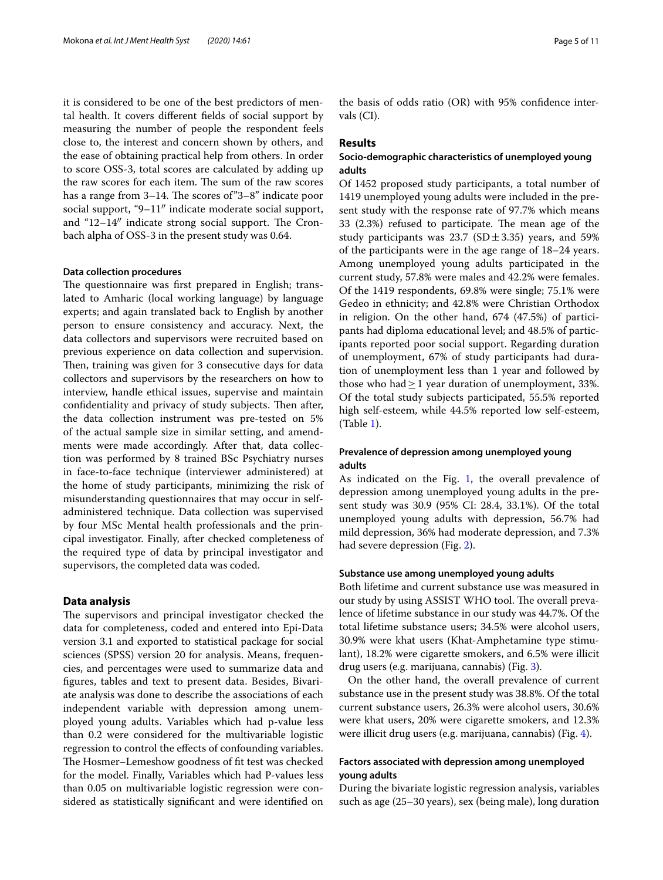it is considered to be one of the best predictors of mental health. It covers diferent felds of social support by measuring the number of people the respondent feels close to, the interest and concern shown by others, and the ease of obtaining practical help from others. In order to score OSS-3, total scores are calculated by adding up the raw scores for each item. The sum of the raw scores has a range from  $3-14$ . The scores of  $3-8$ " indicate poor social support, "9–11″ indicate moderate social support, and " $12-14$ " indicate strong social support. The Cronbach alpha of OSS-3 in the present study was 0.64.

#### **Data collection procedures**

The questionnaire was first prepared in English; translated to Amharic (local working language) by language experts; and again translated back to English by another person to ensure consistency and accuracy. Next, the data collectors and supervisors were recruited based on previous experience on data collection and supervision. Then, training was given for 3 consecutive days for data collectors and supervisors by the researchers on how to interview, handle ethical issues, supervise and maintain confidentiality and privacy of study subjects. Then after, the data collection instrument was pre-tested on 5% of the actual sample size in similar setting, and amendments were made accordingly. After that, data collection was performed by 8 trained BSc Psychiatry nurses in face-to-face technique (interviewer administered) at the home of study participants, minimizing the risk of misunderstanding questionnaires that may occur in selfadministered technique. Data collection was supervised by four MSc Mental health professionals and the principal investigator. Finally, after checked completeness of the required type of data by principal investigator and supervisors, the completed data was coded.

## **Data analysis**

The supervisors and principal investigator checked the data for completeness, coded and entered into Epi-Data version 3.1 and exported to statistical package for social sciences (SPSS) version 20 for analysis. Means, frequencies, and percentages were used to summarize data and fgures, tables and text to present data. Besides, Bivariate analysis was done to describe the associations of each independent variable with depression among unemployed young adults. Variables which had p-value less than 0.2 were considered for the multivariable logistic regression to control the efects of confounding variables. The Hosmer–Lemeshow goodness of fit test was checked for the model. Finally, Variables which had P-values less than 0.05 on multivariable logistic regression were considered as statistically signifcant and were identifed on the basis of odds ratio (OR) with 95% confdence intervals (CI).

## **Results**

## **Socio‑demographic characteristics of unemployed young adults**

Of 1452 proposed study participants, a total number of 1419 unemployed young adults were included in the present study with the response rate of 97.7% which means 33 (2.3%) refused to participate. The mean age of the study participants was 23.7 (SD $\pm$ 3.35) years, and 59% of the participants were in the age range of 18–24 years. Among unemployed young adults participated in the current study, 57.8% were males and 42.2% were females. Of the 1419 respondents, 69.8% were single; 75.1% were Gedeo in ethnicity; and 42.8% were Christian Orthodox in religion. On the other hand, 674 (47.5%) of participants had diploma educational level; and 48.5% of participants reported poor social support. Regarding duration of unemployment, 67% of study participants had duration of unemployment less than 1 year and followed by those who had  $\geq 1$  year duration of unemployment, 33%. Of the total study subjects participated, 55.5% reported high self-esteem, while 44.5% reported low self-esteem, (Table [1\)](#page-5-0).

## **Prevalence of depression among unemployed young adults**

As indicated on the Fig. [1,](#page-5-1) the overall prevalence of depression among unemployed young adults in the present study was 30.9 (95% CI: 28.4, 33.1%). Of the total unemployed young adults with depression, 56.7% had mild depression, 36% had moderate depression, and 7.3% had severe depression (Fig. [2\)](#page-5-2).

#### **Substance use among unemployed young adults**

Both lifetime and current substance use was measured in our study by using ASSIST WHO tool. The overall prevalence of lifetime substance in our study was 44.7%. Of the total lifetime substance users; 34.5% were alcohol users, 30.9% were khat users (Khat-Amphetamine type stimulant), 18.2% were cigarette smokers, and 6.5% were illicit drug users (e.g. marijuana, cannabis) (Fig. [3\)](#page-5-3).

On the other hand, the overall prevalence of current substance use in the present study was 38.8%. Of the total current substance users, 26.3% were alcohol users, 30.6% were khat users, 20% were cigarette smokers, and 12.3% were illicit drug users (e.g. marijuana, cannabis) (Fig. [4\)](#page-6-0).

## **Factors associated with depression among unemployed young adults**

During the bivariate logistic regression analysis, variables such as age (25–30 years), sex (being male), long duration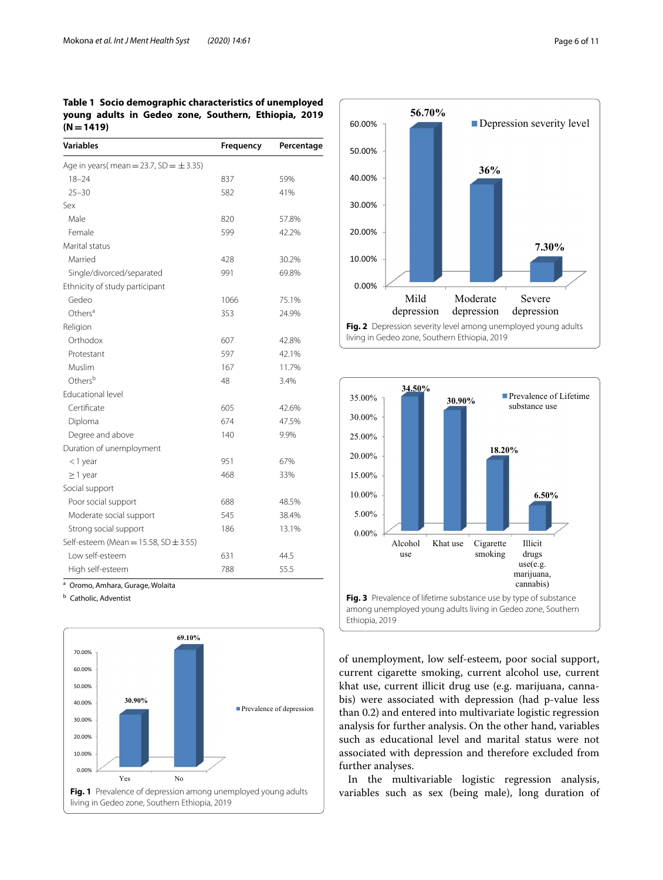## <span id="page-5-0"></span>**Table 1 Socio demographic characteristics of unemployed young adults in Gedeo zone, Southern, Ethiopia, 2019 (N=1419)**

| <b>Variables</b>                             | Frequency | Percentage |
|----------------------------------------------|-----------|------------|
| Age in years(mean = 23.7, SD = $\pm$ 3.35)   |           |            |
| $18 - 24$                                    | 837       | 59%        |
| $25 - 30$                                    | 582       | 41%        |
| Sex                                          |           |            |
| Male                                         | 820       | 57.8%      |
| Female                                       | 599       | 42.2%      |
| Marital status                               |           |            |
| Married                                      | 428       | 30.2%      |
| Single/divorced/separated                    | 991       | 69.8%      |
| Ethnicity of study participant               |           |            |
| Gedeo                                        | 1066      | 75.1%      |
| Others <sup>a</sup>                          | 353       | 24.9%      |
| Religion                                     |           |            |
| Orthodox                                     | 607       | 42.8%      |
| Protestant                                   | 597       | 42.1%      |
| Muslim                                       | 167       | 11.7%      |
| Others <sup>b</sup>                          | 48        | 3.4%       |
| <b>Educational level</b>                     |           |            |
| Certificate                                  | 605       | 42.6%      |
| Diploma                                      | 674       | 47.5%      |
| Degree and above                             | 140       | 9.9%       |
| Duration of unemployment                     |           |            |
| $<$ 1 year                                   | 951       | 67%        |
| $\geq$ 1 year                                | 468       | 33%        |
| Social support                               |           |            |
| Poor social support                          | 688       | 48.5%      |
| Moderate social support                      | 545       | 38.4%      |
| Strong social support                        | 186       | 13.1%      |
| Self-esteem (Mean = $15.58$ , SD $\pm$ 3.55) |           |            |
| I ow self-esteem                             | 631       | 44.5       |
| High self-esteem                             | 788       | 55.5       |

<sup>a</sup> Oromo, Amhara, Gurage, Wolaita

**b** Catholic, Adventist

<span id="page-5-1"></span>



<span id="page-5-2"></span>

<span id="page-5-3"></span>among unemployed young adults living in Gedeo zone, Southern Ethiopia, 2019

of unemployment, low self-esteem, poor social support, current cigarette smoking, current alcohol use, current khat use, current illicit drug use (e.g. marijuana, cannabis) were associated with depression (had p-value less than 0.2) and entered into multivariate logistic regression analysis for further analysis. On the other hand, variables such as educational level and marital status were not associated with depression and therefore excluded from further analyses.

In the multivariable logistic regression analysis, variables such as sex (being male), long duration of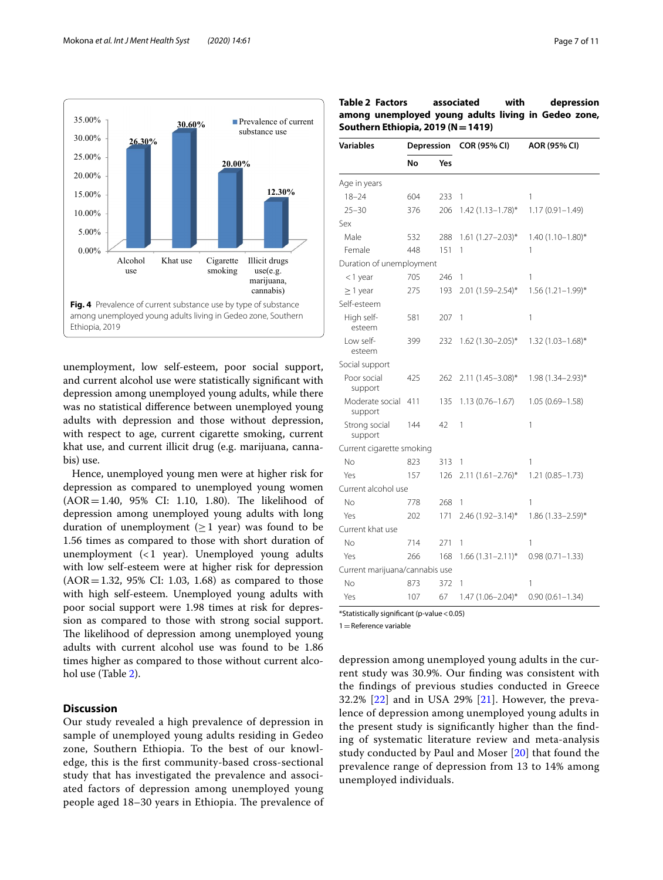

<span id="page-6-0"></span>unemployment, low self-esteem, poor social support, and current alcohol use were statistically signifcant with depression among unemployed young adults, while there was no statistical diference between unemployed young adults with depression and those without depression, with respect to age, current cigarette smoking, current khat use, and current illicit drug (e.g. marijuana, cannabis) use.

Hence, unemployed young men were at higher risk for depression as compared to unemployed young women  $(AOR = 1.40, 95\% \text{ CI: } 1.10, 1.80)$ . The likelihood of depression among unemployed young adults with long duration of unemployment ( $\geq$  1 year) was found to be 1.56 times as compared to those with short duration of unemployment  $\left($  < 1 year). Unemployed young adults with low self-esteem were at higher risk for depression  $(AOR = 1.32, 95\% \text{ CI: } 1.03, 1.68)$  as compared to those with high self-esteem. Unemployed young adults with poor social support were 1.98 times at risk for depression as compared to those with strong social support. The likelihood of depression among unemployed young adults with current alcohol use was found to be 1.86 times higher as compared to those without current alcohol use (Table [2\)](#page-6-1).

## **Discussion**

Our study revealed a high prevalence of depression in sample of unemployed young adults residing in Gedeo zone, Southern Ethiopia. To the best of our knowledge, this is the frst community-based cross-sectional study that has investigated the prevalence and associated factors of depression among unemployed young people aged 18–30 years in Ethiopia. The prevalence of

<span id="page-6-1"></span>

| Table 2 Factors                                     | associated | with |  | depression |
|-----------------------------------------------------|------------|------|--|------------|
| among unemployed young adults living in Gedeo zone, |            |      |  |            |
| Southern Ethiopia, 2019 (N = 1419)                  |            |      |  |            |

| <b>Variables</b>               | Depression |     | <b>COR (95% CI)</b>     | AOR (95% CI)             |  |  |  |  |
|--------------------------------|------------|-----|-------------------------|--------------------------|--|--|--|--|
|                                | No         | Yes |                         |                          |  |  |  |  |
| Age in years                   |            |     |                         |                          |  |  |  |  |
| $18 - 24$                      | 604        | 233 | 1                       | 1                        |  |  |  |  |
| $25 - 30$                      | 376        | 206 | $1.42$ (1.13-1.78)*     | $1.17(0.91 - 1.49)$      |  |  |  |  |
| Sex                            |            |     |                         |                          |  |  |  |  |
| Male                           | 532        | 288 | $1.61 (1.27 - 2.03)^*$  | $1.40(1.10-1.80)$ *      |  |  |  |  |
| Female                         | 448        | 151 | 1                       | 1                        |  |  |  |  |
| Duration of unemployment       |            |     |                         |                          |  |  |  |  |
| <1 year                        | 705        | 246 | 1                       | 1                        |  |  |  |  |
| $\geq$ 1 year                  | 275        | 193 | 2.01 (1.59-2.54)*       | $1.56$ $(1.21 - 1.99)^*$ |  |  |  |  |
| Self-esteem                    |            |     |                         |                          |  |  |  |  |
| High self-<br>esteem           | 581        | 207 | 1                       | 1                        |  |  |  |  |
| Low self-<br>esteem            | 399        | 232 | $1.62$ (1.30-2.05)*     | $1.32$ (1.03-1.68)*      |  |  |  |  |
| Social support                 |            |     |                         |                          |  |  |  |  |
| Poor social<br>support         | 425        | 262 | $2.11(1.45 - 3.08)^{*}$ | 1.98 (1.34-2.93)*        |  |  |  |  |
| Moderate social<br>support     | 411        | 135 | $1.13(0.76 - 1.67)$     | $1.05(0.69 - 1.58)$      |  |  |  |  |
| Strong social<br>support       | 144        | 42  | 1                       | 1                        |  |  |  |  |
| Current cigarette smoking      |            |     |                         |                          |  |  |  |  |
| No                             | 823        | 313 | 1                       | 1                        |  |  |  |  |
| Yes                            | 157        | 126 | $2.11(1.61 - 2.76)^*$   | $1.21(0.85 - 1.73)$      |  |  |  |  |
| Current alcohol use            |            |     |                         |                          |  |  |  |  |
| No                             | 778        | 268 | 1                       | 1                        |  |  |  |  |
| Yes                            | 202        | 171 | $2.46$ (1.92-3.14)*     | $1.86$ (1.33-2.59)*      |  |  |  |  |
| Current khat use               |            |     |                         |                          |  |  |  |  |
| No                             | 714        | 271 | 1                       | 1                        |  |  |  |  |
| Yes                            | 266        | 168 | $1.66(1.31 - 2.11)^*$   | $0.98(0.71 - 1.33)$      |  |  |  |  |
| Current marijuana/cannabis use |            |     |                         |                          |  |  |  |  |
| No                             | 873        | 372 | 1                       | 1                        |  |  |  |  |
| Yes                            | 107        | 67  | $1.47(1.06 - 2.04)^{*}$ | $0.90(0.61 - 1.34)$      |  |  |  |  |

\*Statistically signifcant (p-value<0.05)

 $1$  = Reference variable

depression among unemployed young adults in the current study was 30.9%. Our fnding was consistent with the fndings of previous studies conducted in Greece 32.2% [\[22](#page-9-17)] and in USA 29% [[21\]](#page-9-16). However, the prevalence of depression among unemployed young adults in the present study is signifcantly higher than the fnding of systematic literature review and meta-analysis study conducted by Paul and Moser [\[20](#page-9-15)] that found the prevalence range of depression from 13 to 14% among unemployed individuals.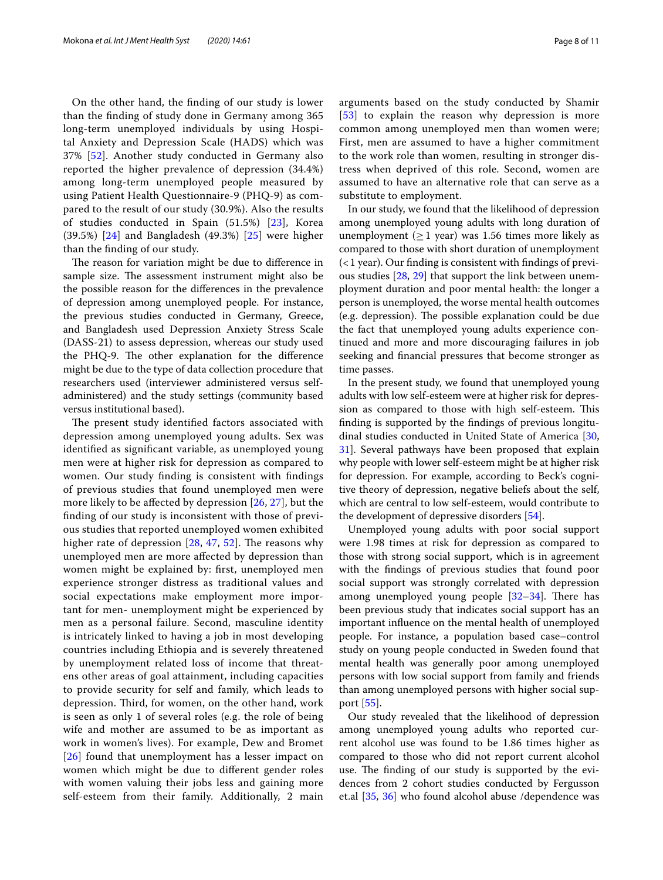On the other hand, the fnding of our study is lower than the fnding of study done in Germany among 365 long-term unemployed individuals by using Hospital Anxiety and Depression Scale (HADS) which was 37% [[52\]](#page-10-1). Another study conducted in Germany also reported the higher prevalence of depression (34.4%) among long-term unemployed people measured by using Patient Health Questionnaire-9 (PHQ-9) as compared to the result of our study (30.9%). Also the results of studies conducted in Spain (51.5%) [\[23\]](#page-9-18), Korea (39.5%) [[24](#page-9-19)] and Bangladesh (49.3%) [\[25](#page-9-20)] were higher than the fnding of our study.

The reason for variation might be due to difference in sample size. The assessment instrument might also be the possible reason for the diferences in the prevalence of depression among unemployed people. For instance, the previous studies conducted in Germany, Greece, and Bangladesh used Depression Anxiety Stress Scale (DASS-21) to assess depression, whereas our study used the PHQ-9. The other explanation for the difference might be due to the type of data collection procedure that researchers used (interviewer administered versus selfadministered) and the study settings (community based versus institutional based).

The present study identified factors associated with depression among unemployed young adults. Sex was identifed as signifcant variable, as unemployed young men were at higher risk for depression as compared to women. Our study fnding is consistent with fndings of previous studies that found unemployed men were more likely to be afected by depression [[26,](#page-9-21) [27\]](#page-9-22), but the fnding of our study is inconsistent with those of previous studies that reported unemployed women exhibited higher rate of depression  $[28, 47, 52]$  $[28, 47, 52]$  $[28, 47, 52]$  $[28, 47, 52]$  $[28, 47, 52]$  $[28, 47, 52]$ . The reasons why unemployed men are more afected by depression than women might be explained by: frst, unemployed men experience stronger distress as traditional values and social expectations make employment more important for men- unemployment might be experienced by men as a personal failure. Second, masculine identity is intricately linked to having a job in most developing countries including Ethiopia and is severely threatened by unemployment related loss of income that threatens other areas of goal attainment, including capacities to provide security for self and family, which leads to depression. Third, for women, on the other hand, work is seen as only 1 of several roles (e.g. the role of being wife and mother are assumed to be as important as work in women's lives). For example, Dew and Bromet [[26](#page-9-21)] found that unemployment has a lesser impact on women which might be due to diferent gender roles with women valuing their jobs less and gaining more self-esteem from their family. Additionally, 2 main arguments based on the study conducted by Shamir [[53](#page-10-2)] to explain the reason why depression is more common among unemployed men than women were; First, men are assumed to have a higher commitment to the work role than women, resulting in stronger distress when deprived of this role. Second, women are assumed to have an alternative role that can serve as a substitute to employment.

In our study, we found that the likelihood of depression among unemployed young adults with long duration of unemployment ( $\geq$  1 year) was 1.56 times more likely as compared to those with short duration of unemployment  $($  < 1 year). Our finding is consistent with findings of previous studies [\[28](#page-9-23), [29\]](#page-9-24) that support the link between unemployment duration and poor mental health: the longer a person is unemployed, the worse mental health outcomes (e.g. depression). The possible explanation could be due the fact that unemployed young adults experience continued and more and more discouraging failures in job seeking and fnancial pressures that become stronger as time passes.

In the present study, we found that unemployed young adults with low self-esteem were at higher risk for depression as compared to those with high self-esteem. This fnding is supported by the fndings of previous longitudinal studies conducted in United State of America [[30](#page-9-25), [31\]](#page-9-26). Several pathways have been proposed that explain why people with lower self-esteem might be at higher risk for depression. For example, according to Beck's cognitive theory of depression, negative beliefs about the self, which are central to low self-esteem, would contribute to the development of depressive disorders [\[54\]](#page-10-3).

Unemployed young adults with poor social support were 1.98 times at risk for depression as compared to those with strong social support, which is in agreement with the fndings of previous studies that found poor social support was strongly correlated with depression among unemployed young people  $[32-34]$  $[32-34]$  $[32-34]$ . There has been previous study that indicates social support has an important infuence on the mental health of unemployed people. For instance, a population based case–control study on young people conducted in Sweden found that mental health was generally poor among unemployed persons with low social support from family and friends than among unemployed persons with higher social support [[55\]](#page-10-4).

Our study revealed that the likelihood of depression among unemployed young adults who reported current alcohol use was found to be 1.86 times higher as compared to those who did not report current alcohol use. The finding of our study is supported by the evidences from 2 cohort studies conducted by Fergusson et.al [\[35](#page-9-29), [36](#page-9-30)] who found alcohol abuse /dependence was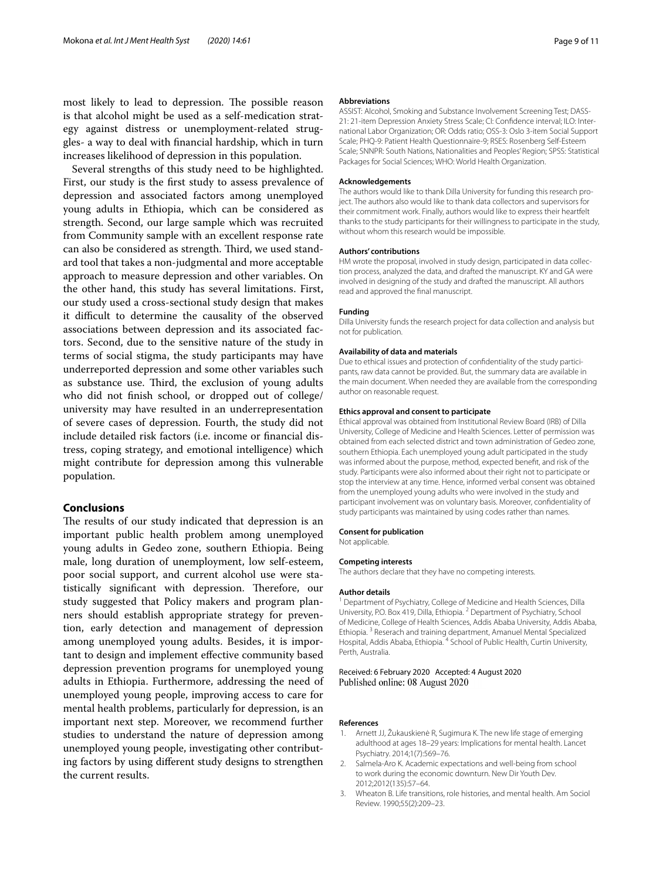most likely to lead to depression. The possible reason is that alcohol might be used as a self-medication strategy against distress or unemployment-related struggles- a way to deal with fnancial hardship, which in turn increases likelihood of depression in this population.

Several strengths of this study need to be highlighted. First, our study is the frst study to assess prevalence of depression and associated factors among unemployed young adults in Ethiopia, which can be considered as strength. Second, our large sample which was recruited from Community sample with an excellent response rate can also be considered as strength. Third, we used standard tool that takes a non-judgmental and more acceptable approach to measure depression and other variables. On the other hand, this study has several limitations. First, our study used a cross-sectional study design that makes it difficult to determine the causality of the observed associations between depression and its associated factors. Second, due to the sensitive nature of the study in terms of social stigma, the study participants may have underreported depression and some other variables such as substance use. Third, the exclusion of young adults who did not fnish school, or dropped out of college/ university may have resulted in an underrepresentation of severe cases of depression. Fourth, the study did not include detailed risk factors (i.e. income or fnancial distress, coping strategy, and emotional intelligence) which might contribute for depression among this vulnerable population.

## **Conclusions**

The results of our study indicated that depression is an important public health problem among unemployed young adults in Gedeo zone, southern Ethiopia. Being male, long duration of unemployment, low self-esteem, poor social support, and current alcohol use were statistically significant with depression. Therefore, our study suggested that Policy makers and program planners should establish appropriate strategy for prevention, early detection and management of depression among unemployed young adults. Besides, it is important to design and implement efective community based depression prevention programs for unemployed young adults in Ethiopia. Furthermore, addressing the need of unemployed young people, improving access to care for mental health problems, particularly for depression, is an important next step. Moreover, we recommend further studies to understand the nature of depression among unemployed young people, investigating other contributing factors by using diferent study designs to strengthen the current results.

#### **Abbreviations**

ASSIST: Alcohol, Smoking and Substance Involvement Screening Test; DASS-21: 21-item Depression Anxiety Stress Scale; CI: Confdence interval; ILO: International Labor Organization; OR: Odds ratio; OSS-3: Oslo 3-item Social Support Scale; PHQ-9: Patient Health Questionnaire-9; RSES: Rosenberg Self-Esteem Scale; SNNPR: South Nations, Nationalities and Peoples' Region; SPSS: Statistical Packages for Social Sciences; WHO: World Health Organization.

#### **Acknowledgements**

The authors would like to thank Dilla University for funding this research project. The authors also would like to thank data collectors and supervisors for their commitment work. Finally, authors would like to express their heartfelt thanks to the study participants for their willingness to participate in the study, without whom this research would be impossible.

#### **Authors' contributions**

HM wrote the proposal, involved in study design, participated in data collection process, analyzed the data, and drafted the manuscript. KY and GA were involved in designing of the study and drafted the manuscript. All authors read and approved the fnal manuscript.

#### **Funding**

Dilla University funds the research project for data collection and analysis but not for publication.

#### **Availability of data and materials**

Due to ethical issues and protection of confdentiality of the study participants, raw data cannot be provided. But, the summary data are available in the main document. When needed they are available from the corresponding author on reasonable request.

#### **Ethics approval and consent to participate**

Ethical approval was obtained from Institutional Review Board (IRB) of Dilla University, College of Medicine and Health Sciences. Letter of permission was obtained from each selected district and town administration of Gedeo zone, southern Ethiopia. Each unemployed young adult participated in the study was informed about the purpose, method, expected beneft, and risk of the study. Participants were also informed about their right not to participate or stop the interview at any time. Hence, informed verbal consent was obtained from the unemployed young adults who were involved in the study and participant involvement was on voluntary basis. Moreover, confdentiality of study participants was maintained by using codes rather than names.

#### **Consent for publication**

Not applicable.

#### **Competing interests**

The authors declare that they have no competing interests.

#### **Author details**

<sup>1</sup> Department of Psychiatry, College of Medicine and Health Sciences, Dilla University, P.O. Box 419, Dilla, Ethiopia. <sup>2</sup> Department of Psychiatry, School of Medicine, College of Health Sciences, Addis Ababa University, Addis Ababa, Ethiopia. 3 Reserach and training department, Amanuel Mental Specialized Hospital, Addis Ababa, Ethiopia.<sup>4</sup> School of Public Health, Curtin University, Perth, Australia.

#### Received: 6 February 2020 Accepted: 4 August 2020 Published online: 08 August 2020

#### **References**

- <span id="page-8-0"></span>1. Arnett JJ, Žukauskienė R, Sugimura K. The new life stage of emerging adulthood at ages 18–29 years: Implications for mental health. Lancet Psychiatry. 2014;1(7):569–76.
- <span id="page-8-1"></span>2. Salmela-Aro K. Academic expectations and well-being from school to work during the economic downturn. New Dir Youth Dev. 2012;2012(135):57–64.
- <span id="page-8-2"></span>3. Wheaton B. Life transitions, role histories, and mental health. Am Sociol Review. 1990;55(2):209–23.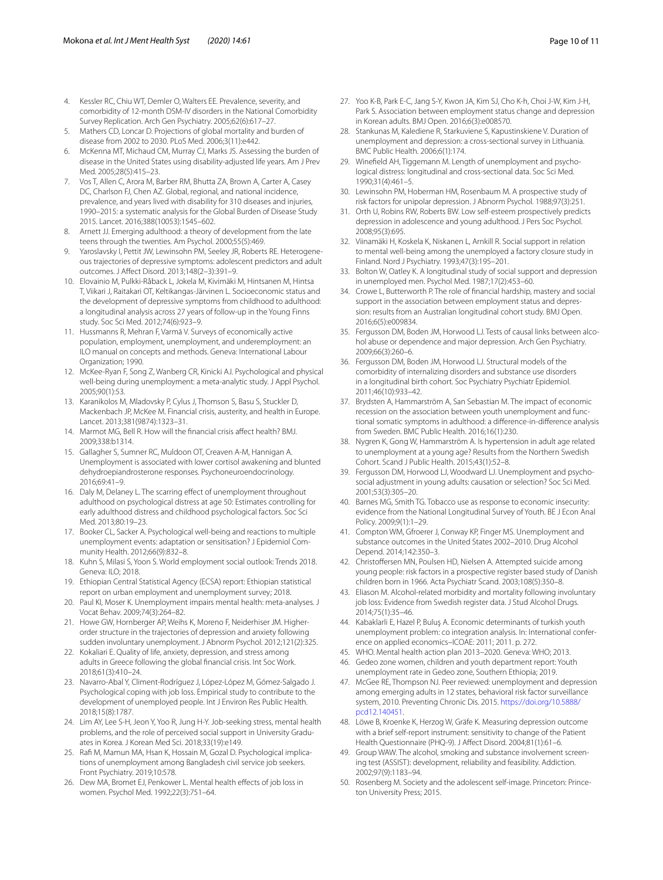- <span id="page-9-0"></span>4. Kessler RC, Chiu WT, Demler O, Walters EE. Prevalence, severity, and comorbidity of 12-month DSM-IV disorders in the National Comorbidity Survey Replication. Arch Gen Psychiatry. 2005;62(6):617–27.
- <span id="page-9-1"></span>5. Mathers CD, Loncar D. Projections of global mortality and burden of disease from 2002 to 2030. PLoS Med. 2006;3(11):e442.
- <span id="page-9-2"></span>6. McKenna MT, Michaud CM, Murray CJ, Marks JS. Assessing the burden of disease in the United States using disability-adjusted life years. Am J Prev Med. 2005;28(5):415–23.
- <span id="page-9-3"></span>Vos T, Allen C, Arora M, Barber RM, Bhutta ZA, Brown A, Carter A, Casey DC, Charlson FJ, Chen AZ. Global, regional, and national incidence, prevalence, and years lived with disability for 310 diseases and injuries, 1990–2015: a systematic analysis for the Global Burden of Disease Study 2015. Lancet. 2016;388(10053):1545–602.
- <span id="page-9-4"></span>8. Arnett JJ. Emerging adulthood: a theory of development from the late teens through the twenties. Am Psychol. 2000;55(5):469.
- <span id="page-9-5"></span>9. Yaroslavsky I, Pettit JW, Lewinsohn PM, Seeley JR, Roberts RE. Heterogeneous trajectories of depressive symptoms: adolescent predictors and adult outcomes. J Afect Disord. 2013;148(2–3):391–9.
- <span id="page-9-6"></span>10. Elovainio M, Pulkki-Råback L, Jokela M, Kivimäki M, Hintsanen M, Hintsa T, Viikari J, Raitakari OT, Keltikangas-Järvinen L. Socioeconomic status and the development of depressive symptoms from childhood to adulthood: a longitudinal analysis across 27 years of follow-up in the Young Finns study. Soc Sci Med. 2012;74(6):923–9.
- <span id="page-9-7"></span>11. Hussmanns R, Mehran F, Varmā V. Surveys of economically active population, employment, unemployment, and underemployment: an ILO manual on concepts and methods. Geneva: International Labour Organization; 1990.
- <span id="page-9-8"></span>12. McKee-Ryan F, Song Z, Wanberg CR, Kinicki AJ. Psychological and physical well-being during unemployment: a meta-analytic study. J Appl Psychol. 2005;90(1):53.
- <span id="page-9-9"></span>13. Karanikolos M, Mladovsky P, Cylus J, Thomson S, Basu S, Stuckler D, Mackenbach JP, McKee M. Financial crisis, austerity, and health in Europe. Lancet. 2013;381(9874):1323–31.
- <span id="page-9-10"></span>14. Marmot MG, Bell R. How will the fnancial crisis afect health? BMJ. 2009;338:b1314.
- <span id="page-9-11"></span>15. Gallagher S, Sumner RC, Muldoon OT, Creaven A-M, Hannigan A. Unemployment is associated with lower cortisol awakening and blunted dehydroepiandrosterone responses. Psychoneuroendocrinology. 2016;69:41–9.
- 16. Daly M, Delaney L. The scarring effect of unemployment throughout adulthood on psychological distress at age 50: Estimates controlling for early adulthood distress and childhood psychological factors. Soc Sci Med. 2013;80:19–23.
- <span id="page-9-12"></span>17. Booker CL, Sacker A. Psychological well-being and reactions to multiple unemployment events: adaptation or sensitisation? J Epidemiol Community Health. 2012;66(9):832–8.
- <span id="page-9-13"></span>18. Kuhn S, Milasi S, Yoon S. World employment social outlook: Trends 2018. Geneva: ILO; 2018.
- <span id="page-9-14"></span>19. Ethiopian Central Statistical Agency (ECSA) report: Ethiopian statistical report on urban employment and unemployment survey; 2018.
- <span id="page-9-15"></span>20. Paul KI, Moser K. Unemployment impairs mental health: meta-analyses. J Vocat Behav. 2009;74(3):264–82.
- <span id="page-9-16"></span>21. Howe GW, Hornberger AP, Weihs K, Moreno F, Neiderhiser JM. Higherorder structure in the trajectories of depression and anxiety following sudden involuntary unemployment. J Abnorm Psychol. 2012;121(2):325.
- <span id="page-9-17"></span>22. Kokaliari E. Quality of life, anxiety, depression, and stress among adults in Greece following the global fnancial crisis. Int Soc Work. 2018;61(3):410–24.
- <span id="page-9-18"></span>23. Navarro-Abal Y, Climent-Rodríguez J, López-López M, Gómez-Salgado J. Psychological coping with job loss. Empirical study to contribute to the development of unemployed people. Int J Environ Res Public Health. 2018;15(8):1787.
- <span id="page-9-19"></span>24. Lim AY, Lee S-H, Jeon Y, Yoo R, Jung H-Y. Job-seeking stress, mental health problems, and the role of perceived social support in University Graduates in Korea. J Korean Med Sci. 2018;33(19):e149.
- <span id="page-9-20"></span>25. Raf M, Mamun MA, Hsan K, Hossain M, Gozal D. Psychological implications of unemployment among Bangladesh civil service job seekers. Front Psychiatry. 2019;10:578.
- <span id="page-9-21"></span>26. Dew MA, Bromet EJ, Penkower L. Mental health effects of job loss in women. Psychol Med. 1992;22(3):751–64.
- <span id="page-9-22"></span>27. Yoo K-B, Park E-C, Jang S-Y, Kwon JA, Kim SJ, Cho K-h, Choi J-W, Kim J-H, Park S. Association between employment status change and depression in Korean adults. BMJ Open. 2016;6(3):e008570.
- <span id="page-9-23"></span>28. Stankunas M, Kalediene R, Starkuviene S, Kapustinskiene V. Duration of unemployment and depression: a cross-sectional survey in Lithuania. BMC Public Health. 2006;6(1):174.
- <span id="page-9-24"></span>29. Winefeld AH, Tiggemann M. Length of unemployment and psychological distress: longitudinal and cross-sectional data. Soc Sci Med. 1990;31(4):461–5.
- <span id="page-9-25"></span>30. Lewinsohn PM, Hoberman HM, Rosenbaum M. A prospective study of risk factors for unipolar depression. J Abnorm Psychol. 1988;97(3):251.
- <span id="page-9-26"></span>31. Orth U, Robins RW, Roberts BW. Low self-esteem prospectively predicts depression in adolescence and young adulthood. J Pers Soc Psychol. 2008;95(3):695.
- <span id="page-9-27"></span>32. Viinamäki H, Koskela K, Niskanen L, Arnkill R. Social support in relation to mental well-being among the unemployed a factory closure study in Finland. Nord J Psychiatry. 1993;47(3):195–201.
- 33. Bolton W, Oatley K. A longitudinal study of social support and depression in unemployed men. Psychol Med. 1987;17(2):453–60.
- <span id="page-9-28"></span>34. Crowe L, Butterworth P. The role of fnancial hardship, mastery and social support in the association between employment status and depression: results from an Australian longitudinal cohort study. BMJ Open. 2016;6(5):e009834.
- <span id="page-9-29"></span>35. Fergusson DM, Boden JM, Horwood LJ. Tests of causal links between alcohol abuse or dependence and major depression. Arch Gen Psychiatry. 2009;66(3):260–6.
- <span id="page-9-30"></span>36. Fergusson DM, Boden JM, Horwood LJ. Structural models of the comorbidity of internalizing disorders and substance use disorders in a longitudinal birth cohort. Soc Psychiatry Psychiatr Epidemiol. 2011;46(10):933–42.
- <span id="page-9-31"></span>37. Brydsten A, Hammarström A, San Sebastian M. The impact of economic recession on the association between youth unemployment and functional somatic symptoms in adulthood: a diference-in-diference analysis from Sweden. BMC Public Health. 2016;16(1):230.
- <span id="page-9-32"></span>38. Nygren K, Gong W, Hammarström A. Is hypertension in adult age related to unemployment at a young age? Results from the Northern Swedish Cohort. Scand J Public Health. 2015;43(1):52–8.
- <span id="page-9-33"></span>39. Fergusson DM, Horwood LJ, Woodward LJ. Unemployment and psychosocial adjustment in young adults: causation or selection? Soc Sci Med. 2001;53(3):305–20.
- <span id="page-9-34"></span>40. Barnes MG, Smith TG. Tobacco use as response to economic insecurity: evidence from the National Longitudinal Survey of Youth. BE J Econ Anal Policy. 2009;9(1):1–29.
- <span id="page-9-35"></span>41. Compton WM, Gfroerer J, Conway KP, Finger MS. Unemployment and substance outcomes in the United States 2002–2010. Drug Alcohol Depend. 2014;142:350–3.
- <span id="page-9-36"></span>42. Christoffersen MN, Poulsen HD, Nielsen A. Attempted suicide among young people: risk factors in a prospective register based study of Danish children born in 1966. Acta Psychiatr Scand. 2003;108(5):350–8.
- <span id="page-9-37"></span>43. Eliason M. Alcohol-related morbidity and mortality following involuntary job loss: Evidence from Swedish register data. J Stud Alcohol Drugs. 2014;75(1):35–46.
- <span id="page-9-38"></span>44. Kabaklarli E, Hazel P, Buluş A. Economic determinants of turkish youth unemployment problem: co integration analysis. In: International conference on applied economics–ICOAE: 2011; 2011. p. 272.
- <span id="page-9-39"></span>45. WHO. Mental health action plan 2013–2020. Geneva: WHO; 2013.
- <span id="page-9-40"></span>46. Gedeo zone women, children and youth department report: Youth unemployment rate in Gedeo zone, Southern Ethiopia; 2019.
- <span id="page-9-41"></span>47. McGee RE, Thompson NJ. Peer reviewed: unemployment and depression among emerging adults in 12 states, behavioral risk factor surveillance system, 2010. Preventing Chronic Dis. 2015. [https://doi.org/10.5888/](https://doi.org/10.5888/pcd12.140451) [pcd12.140451.](https://doi.org/10.5888/pcd12.140451)
- <span id="page-9-42"></span>48. Löwe B, Kroenke K, Herzog W, Gräfe K. Measuring depression outcome with a brief self-report instrument: sensitivity to change of the Patient Health Questionnaire (PHQ-9). J Afect Disord. 2004;81(1):61–6.
- <span id="page-9-43"></span>49. Group WAW. The alcohol, smoking and substance involvement screening test (ASSIST): development, reliability and feasibility. Addiction. 2002;97(9):1183–94.
- <span id="page-9-44"></span>50. Rosenberg M. Society and the adolescent self-image. Princeton: Princeton University Press; 2015.